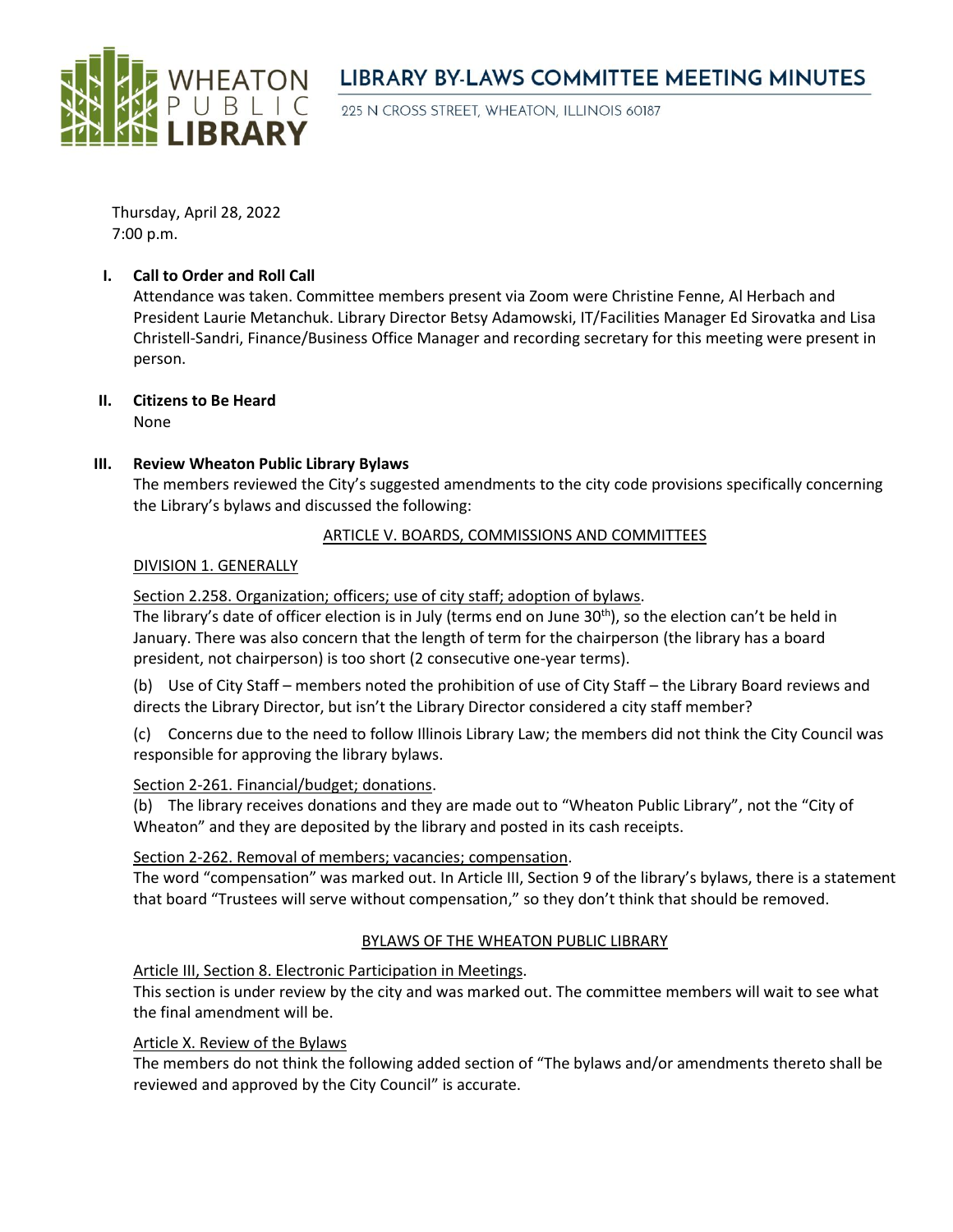

## **LIBRARY BY-LAWS COMMITTEE MEETING MINUTES**

225 N CROSS STREET, WHEATON, ILLINOIS 60187

Thursday, April 28, 2022 7:00 p.m.

#### **I. Call to Order and Roll Call**

Attendance was taken. Committee members present via Zoom were Christine Fenne, Al Herbach and President Laurie Metanchuk. Library Director Betsy Adamowski, IT/Facilities Manager Ed Sirovatka and Lisa Christell-Sandri, Finance/Business Office Manager and recording secretary for this meeting were present in person.

# **II. Citizens to Be Heard**

None

#### **III. Review Wheaton Public Library Bylaws**

The members reviewed the City's suggested amendments to the city code provisions specifically concerning the Library's bylaws and discussed the following:

#### ARTICLE V. BOARDS, COMMISSIONS AND COMMITTEES

#### DIVISION 1. GENERALLY

Section 2.258. Organization; officers; use of city staff; adoption of bylaws.

The library's date of officer election is in July (terms end on June 30th), so the election can't be held in January. There was also concern that the length of term for the chairperson (the library has a board president, not chairperson) is too short (2 consecutive one-year terms).

(b) Use of City Staff – members noted the prohibition of use of City Staff – the Library Board reviews and directs the Library Director, but isn't the Library Director considered a city staff member?

(c) Concerns due to the need to follow Illinois Library Law; the members did not think the City Council was responsible for approving the library bylaws.

#### Section 2-261. Financial/budget; donations.

(b) The library receives donations and they are made out to "Wheaton Public Library", not the "City of Wheaton" and they are deposited by the library and posted in its cash receipts.

#### Section 2-262. Removal of members; vacancies; compensation.

The word "compensation" was marked out. In Article III, Section 9 of the library's bylaws, there is a statement that board "Trustees will serve without compensation," so they don't think that should be removed.

### BYLAWS OF THE WHEATON PUBLIC LIBRARY

Article III, Section 8. Electronic Participation in Meetings.

This section is under review by the city and was marked out. The committee members will wait to see what the final amendment will be.

#### Article X. Review of the Bylaws

The members do not think the following added section of "The bylaws and/or amendments thereto shall be reviewed and approved by the City Council" is accurate.